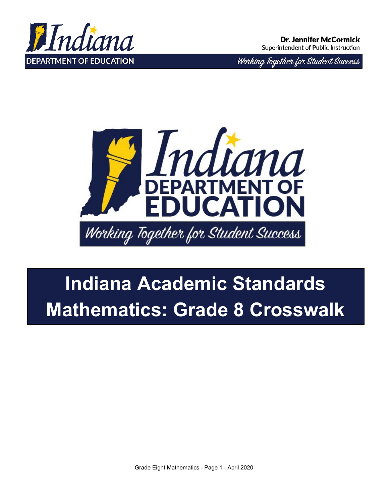

Working Together for Student Success



# **Indiana Academic Standards Mathematics: Grade 8 Crosswalk**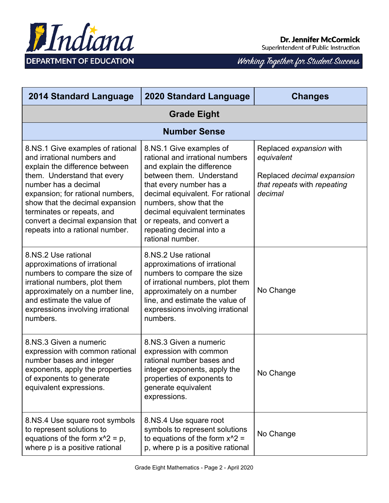

Superintendent of Public Instruction

| <b>2014 Standard Language</b>                                                                                                                                                                                                                                                                                                       | <b>2020 Standard Language</b>                                                                                                                                                                                                                                                                                               | <b>Changes</b>                                                                                                |
|-------------------------------------------------------------------------------------------------------------------------------------------------------------------------------------------------------------------------------------------------------------------------------------------------------------------------------------|-----------------------------------------------------------------------------------------------------------------------------------------------------------------------------------------------------------------------------------------------------------------------------------------------------------------------------|---------------------------------------------------------------------------------------------------------------|
| <b>Grade Eight</b>                                                                                                                                                                                                                                                                                                                  |                                                                                                                                                                                                                                                                                                                             |                                                                                                               |
|                                                                                                                                                                                                                                                                                                                                     | <b>Number Sense</b>                                                                                                                                                                                                                                                                                                         |                                                                                                               |
| 8.NS.1 Give examples of rational<br>and irrational numbers and<br>explain the difference between<br>them. Understand that every<br>number has a decimal<br>expansion; for rational numbers,<br>show that the decimal expansion<br>terminates or repeats, and<br>convert a decimal expansion that<br>repeats into a rational number. | 8.NS.1 Give examples of<br>rational and irrational numbers<br>and explain the difference<br>between them. Understand<br>that every number has a<br>decimal equivalent. For rational<br>numbers, show that the<br>decimal equivalent terminates<br>or repeats, and convert a<br>repeating decimal into a<br>rational number. | Replaced expansion with<br>equivalent<br>Replaced decimal expansion<br>that repeats with repeating<br>decimal |
| 8.NS.2 Use rational<br>approximations of irrational<br>numbers to compare the size of<br>irrational numbers, plot them<br>approximately on a number line,<br>and estimate the value of<br>expressions involving irrational<br>numbers.                                                                                              | 8.NS.2 Use rational<br>approximations of irrational<br>numbers to compare the size<br>of irrational numbers, plot them<br>approximately on a number<br>line, and estimate the value of<br>expressions involving irrational<br>numbers.                                                                                      | No Change                                                                                                     |
| 8.NS.3 Given a numeric<br>expression with common rational<br>number bases and integer<br>exponents, apply the properties<br>of exponents to generate<br>equivalent expressions.                                                                                                                                                     | 8.NS.3 Given a numeric<br>expression with common<br>rational number bases and<br>integer exponents, apply the<br>properties of exponents to<br>generate equivalent<br>expressions.                                                                                                                                          | No Change                                                                                                     |
| 8.NS.4 Use square root symbols<br>to represent solutions to<br>equations of the form $x^2 = p$ ,<br>where p is a positive rational                                                                                                                                                                                                  | 8.NS.4 Use square root<br>symbols to represent solutions<br>to equations of the form $x^2$ =<br>p, where p is a positive rational                                                                                                                                                                                           | No Change                                                                                                     |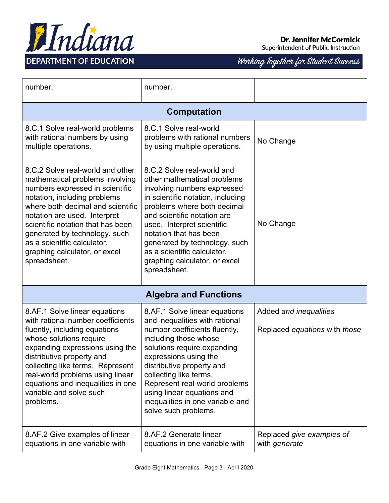

Superintendent of Public Instruction

| number.                                                                                                                                                                                                                                                                                                                                                           | number.                                                                                                                                                                                                                                                                                                                                                              |                                            |  |
|-------------------------------------------------------------------------------------------------------------------------------------------------------------------------------------------------------------------------------------------------------------------------------------------------------------------------------------------------------------------|----------------------------------------------------------------------------------------------------------------------------------------------------------------------------------------------------------------------------------------------------------------------------------------------------------------------------------------------------------------------|--------------------------------------------|--|
|                                                                                                                                                                                                                                                                                                                                                                   | <b>Computation</b>                                                                                                                                                                                                                                                                                                                                                   |                                            |  |
| 8.C.1 Solve real-world problems<br>with rational numbers by using<br>multiple operations.                                                                                                                                                                                                                                                                         | 8.C.1 Solve real-world<br>problems with rational numbers<br>by using multiple operations.                                                                                                                                                                                                                                                                            | No Change                                  |  |
| 8.C.2 Solve real-world and other<br>mathematical problems involving<br>numbers expressed in scientific<br>notation, including problems<br>where both decimal and scientific<br>notation are used. Interpret<br>scientific notation that has been<br>generated by technology, such<br>as a scientific calculator,<br>graphing calculator, or excel<br>spreadsheet. | 8.C.2 Solve real-world and<br>other mathematical problems<br>involving numbers expressed<br>in scientific notation, including<br>problems where both decimal<br>and scientific notation are<br>used. Interpret scientific<br>notation that has been<br>generated by technology, such<br>as a scientific calculator,<br>graphing calculator, or excel<br>spreadsheet. | No Change                                  |  |
| <b>Algebra and Functions</b>                                                                                                                                                                                                                                                                                                                                      |                                                                                                                                                                                                                                                                                                                                                                      |                                            |  |
| 8.AF.1 Solve linear equations<br>with rational number coefficients                                                                                                                                                                                                                                                                                                | 8.AF.1 Solve linear equations<br>and inequalities with rational                                                                                                                                                                                                                                                                                                      | Added and inequalities                     |  |
| fluently, including equations<br>whose solutions require<br>expanding expressions using the<br>distributive property and<br>collecting like terms. Represent<br>real-world problems using linear<br>equations and inequalities in one<br>variable and solve such<br>problems.                                                                                     | number coefficients fluently,<br>including those whose<br>solutions require expanding<br>expressions using the<br>distributive property and<br>collecting like terms.<br>Represent real-world problems<br>using linear equations and<br>inequalities in one variable and<br>solve such problems.                                                                     | Replaced equations with those              |  |
| 8.AF.2 Give examples of linear<br>equations in one variable with                                                                                                                                                                                                                                                                                                  | 8.AF.2 Generate linear<br>equations in one variable with                                                                                                                                                                                                                                                                                                             | Replaced give examples of<br>with generate |  |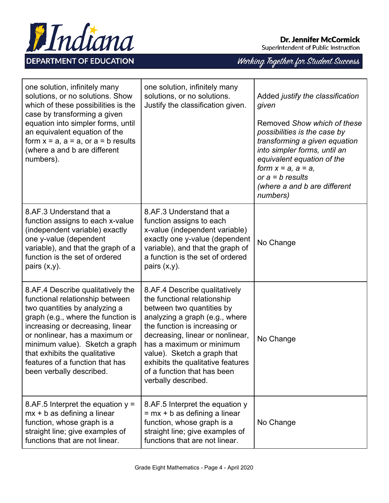

Superintendent of Public Instruction

| one solution, infinitely many<br>solutions, or no solutions. Show<br>which of these possibilities is the<br>case by transforming a given<br>equation into simpler forms, until<br>an equivalent equation of the<br>form $x = a$ , $a = a$ , or $a = b$ results<br>(where a and b are different<br>numbers).                                         | one solution, infinitely many<br>solutions, or no solutions.<br>Justify the classification given.                                                                                                                                                                                                                                                      | Added justify the classification<br>given<br>Removed Show which of these<br>possibilities is the case by<br>transforming a given equation<br>into simpler forms, until an<br>equivalent equation of the<br>form $x = a$ , $a = a$ ,<br>or $a = b$ results<br>(where a and b are different<br>numbers) |
|-----------------------------------------------------------------------------------------------------------------------------------------------------------------------------------------------------------------------------------------------------------------------------------------------------------------------------------------------------|--------------------------------------------------------------------------------------------------------------------------------------------------------------------------------------------------------------------------------------------------------------------------------------------------------------------------------------------------------|-------------------------------------------------------------------------------------------------------------------------------------------------------------------------------------------------------------------------------------------------------------------------------------------------------|
| 8.AF.3 Understand that a<br>function assigns to each x-value<br>(independent variable) exactly<br>one y-value (dependent<br>variable), and that the graph of a<br>function is the set of ordered<br>pairs $(x,y)$ .                                                                                                                                 | 8.AF.3 Understand that a<br>function assigns to each<br>x-value (independent variable)<br>exactly one y-value (dependent<br>variable), and that the graph of<br>a function is the set of ordered<br>pairs $(x,y)$ .                                                                                                                                    | No Change                                                                                                                                                                                                                                                                                             |
| 8.AF.4 Describe qualitatively the<br>functional relationship between<br>two quantities by analyzing a<br>graph (e.g., where the function is<br>increasing or decreasing, linear<br>or nonlinear, has a maximum or<br>minimum value). Sketch a graph<br>that exhibits the qualitative<br>features of a function that has<br>been verbally described. | 8.AF.4 Describe qualitatively<br>the functional relationship<br>between two quantities by<br>analyzing a graph (e.g., where<br>the function is increasing or<br>decreasing, linear or nonlinear,<br>has a maximum or minimum<br>value). Sketch a graph that<br>exhibits the qualitative features<br>of a function that has been<br>verbally described. | No Change                                                                                                                                                                                                                                                                                             |
| 8.AF.5 Interpret the equation $y =$<br>$mx + b$ as defining a linear<br>function, whose graph is a<br>straight line; give examples of<br>functions that are not linear.                                                                                                                                                                             | 8.AF.5 Interpret the equation y<br>$= mx + b$ as defining a linear<br>function, whose graph is a<br>straight line; give examples of<br>functions that are not linear.                                                                                                                                                                                  | No Change                                                                                                                                                                                                                                                                                             |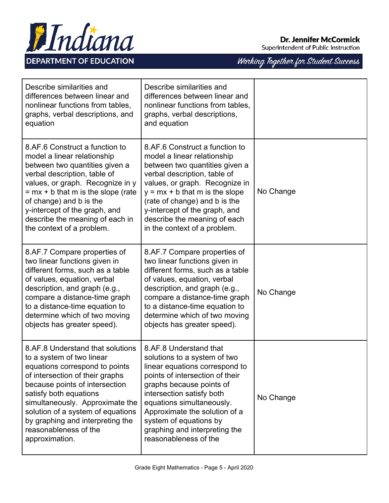

Superintendent of Public Instruction

| Describe similarities and<br>differences between linear and<br>nonlinear functions from tables,<br>graphs, verbal descriptions, and<br>equation                                                                                                                                                                                                       | Describe similarities and<br>differences between linear and<br>nonlinear functions from tables,<br>graphs, verbal descriptions,<br>and equation                                                                                                                                                                                         |           |
|-------------------------------------------------------------------------------------------------------------------------------------------------------------------------------------------------------------------------------------------------------------------------------------------------------------------------------------------------------|-----------------------------------------------------------------------------------------------------------------------------------------------------------------------------------------------------------------------------------------------------------------------------------------------------------------------------------------|-----------|
| 8.AF.6 Construct a function to<br>model a linear relationship<br>between two quantities given a<br>verbal description, table of<br>values, or graph. Recognize in y<br>$= mx + b$ that m is the slope (rate<br>of change) and b is the<br>y-intercept of the graph, and<br>describe the meaning of each in<br>the context of a problem.               | 8.AF.6 Construct a function to<br>model a linear relationship<br>between two quantities given a<br>verbal description, table of<br>values, or graph. Recognize in<br>$y = mx + b$ that m is the slope<br>(rate of change) and b is the<br>y-intercept of the graph, and<br>describe the meaning of each<br>in the context of a problem. | No Change |
| 8.AF.7 Compare properties of<br>two linear functions given in<br>different forms, such as a table<br>of values, equation, verbal<br>description, and graph (e.g.,<br>compare a distance-time graph<br>to a distance-time equation to<br>determine which of two moving<br>objects has greater speed).                                                  | 8.AF.7 Compare properties of<br>two linear functions given in<br>different forms, such as a table<br>of values, equation, verbal<br>description, and graph (e.g.,<br>compare a distance-time graph<br>to a distance-time equation to<br>determine which of two moving<br>objects has greater speed).                                    | No Change |
| 8.AF.8 Understand that solutions<br>to a system of two linear<br>equations correspond to points<br>of intersection of their graphs<br>because points of intersection<br>satisfy both equations<br>simultaneously. Approximate the<br>solution of a system of equations<br>by graphing and interpreting the<br>reasonableness of the<br>approximation. | 8.AF.8 Understand that<br>solutions to a system of two<br>linear equations correspond to<br>points of intersection of their<br>graphs because points of<br>intersection satisfy both<br>equations simultaneously.<br>Approximate the solution of a<br>system of equations by<br>graphing and interpreting the<br>reasonableness of the  | No Change |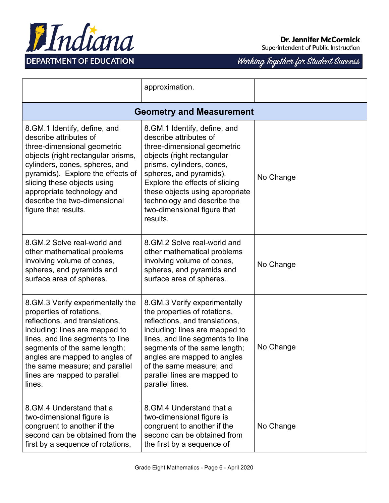

Superintendent of Public Instruction

|                                                                                                                                                                                                                                                                                                                           | approximation.                                                                                                                                                                                                                                                                                                               |           |  |
|---------------------------------------------------------------------------------------------------------------------------------------------------------------------------------------------------------------------------------------------------------------------------------------------------------------------------|------------------------------------------------------------------------------------------------------------------------------------------------------------------------------------------------------------------------------------------------------------------------------------------------------------------------------|-----------|--|
| <b>Geometry and Measurement</b>                                                                                                                                                                                                                                                                                           |                                                                                                                                                                                                                                                                                                                              |           |  |
| 8. GM. 1 Identify, define, and<br>describe attributes of<br>three-dimensional geometric<br>objects (right rectangular prisms,<br>cylinders, cones, spheres, and<br>pyramids). Explore the effects of<br>slicing these objects using<br>appropriate technology and<br>describe the two-dimensional<br>figure that results. | 8. GM. 1 Identify, define, and<br>describe attributes of<br>three-dimensional geometric<br>objects (right rectangular<br>prisms, cylinders, cones,<br>spheres, and pyramids).<br>Explore the effects of slicing<br>these objects using appropriate<br>technology and describe the<br>two-dimensional figure that<br>results. | No Change |  |
| 8. GM. 2 Solve real-world and<br>other mathematical problems<br>involving volume of cones,<br>spheres, and pyramids and<br>surface area of spheres.                                                                                                                                                                       | 8. GM. 2 Solve real-world and<br>other mathematical problems<br>involving volume of cones,<br>spheres, and pyramids and<br>surface area of spheres.                                                                                                                                                                          | No Change |  |
| 8. GM.3 Verify experimentally the<br>properties of rotations,<br>reflections, and translations,<br>including: lines are mapped to<br>lines, and line segments to line<br>segments of the same length;<br>angles are mapped to angles of<br>the same measure; and parallel<br>lines are mapped to parallel<br>lines.       | 8. GM.3 Verify experimentally<br>the properties of rotations,<br>reflections, and translations,<br>including: lines are mapped to<br>lines, and line segments to line<br>segments of the same length;<br>angles are mapped to angles<br>of the same measure; and<br>parallel lines are mapped to<br>parallel lines.          | No Change |  |
| 8. GM. 4 Understand that a<br>two-dimensional figure is<br>congruent to another if the<br>second can be obtained from the<br>first by a sequence of rotations,                                                                                                                                                            | 8. GM. 4 Understand that a<br>two-dimensional figure is<br>congruent to another if the<br>second can be obtained from<br>the first by a sequence of                                                                                                                                                                          | No Change |  |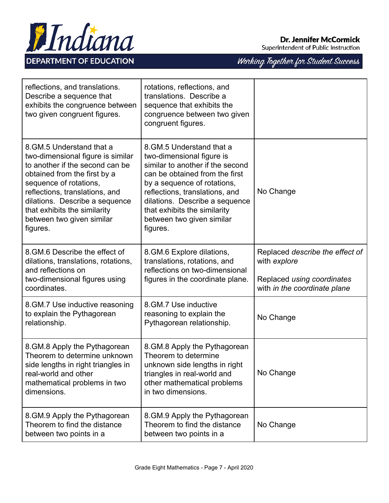

Superintendent of Public Instruction

| reflections, and translations.<br>Describe a sequence that<br>exhibits the congruence between<br>two given congruent figures.                                                                                                                                                                             | rotations, reflections, and<br>translations. Describe a<br>sequence that exhibits the<br>congruence between two given<br>congruent figures.                                                                                                                                                             |                                                                                                               |
|-----------------------------------------------------------------------------------------------------------------------------------------------------------------------------------------------------------------------------------------------------------------------------------------------------------|---------------------------------------------------------------------------------------------------------------------------------------------------------------------------------------------------------------------------------------------------------------------------------------------------------|---------------------------------------------------------------------------------------------------------------|
| 8. GM. 5 Understand that a<br>two-dimensional figure is similar<br>to another if the second can be<br>obtained from the first by a<br>sequence of rotations,<br>reflections, translations, and<br>dilations. Describe a sequence<br>that exhibits the similarity<br>between two given similar<br>figures. | 8.GM.5 Understand that a<br>two-dimensional figure is<br>similar to another if the second<br>can be obtained from the first<br>by a sequence of rotations,<br>reflections, translations, and<br>dilations. Describe a sequence<br>that exhibits the similarity<br>between two given similar<br>figures. | No Change                                                                                                     |
| 8. GM. 6 Describe the effect of<br>dilations, translations, rotations,<br>and reflections on<br>two-dimensional figures using<br>coordinates.                                                                                                                                                             | 8.GM.6 Explore dilations,<br>translations, rotations, and<br>reflections on two-dimensional<br>figures in the coordinate plane.                                                                                                                                                                         | Replaced describe the effect of<br>with explore<br>Replaced using coordinates<br>with in the coordinate plane |
| 8. GM. 7 Use inductive reasoning<br>to explain the Pythagorean<br>relationship.                                                                                                                                                                                                                           | 8.GM.7 Use inductive<br>reasoning to explain the<br>Pythagorean relationship.                                                                                                                                                                                                                           | No Change                                                                                                     |
| 8. GM.8 Apply the Pythagorean<br>Theorem to determine unknown<br>side lengths in right triangles in<br>real-world and other<br>mathematical problems in two<br>dimensions.                                                                                                                                | 8. GM.8 Apply the Pythagorean<br>Theorem to determine<br>unknown side lengths in right<br>triangles in real-world and<br>other mathematical problems<br>in two dimensions.                                                                                                                              | No Change                                                                                                     |
| 8. GM.9 Apply the Pythagorean<br>Theorem to find the distance<br>between two points in a                                                                                                                                                                                                                  | 8. GM.9 Apply the Pythagorean<br>Theorem to find the distance<br>between two points in a                                                                                                                                                                                                                | No Change                                                                                                     |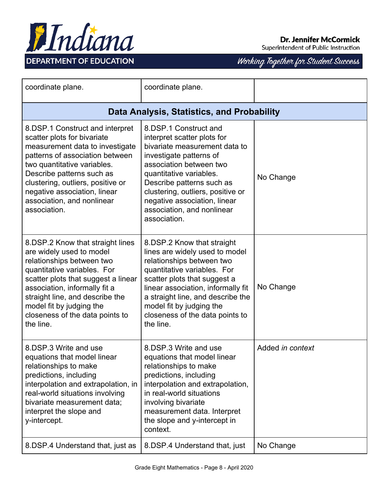

Superintendent of Public Instruction

| coordinate plane.                                                                                                                                                                                                                                                                                                   | coordinate plane.                                                                                                                                                                                                                                                                                                      |                  |  |  |
|---------------------------------------------------------------------------------------------------------------------------------------------------------------------------------------------------------------------------------------------------------------------------------------------------------------------|------------------------------------------------------------------------------------------------------------------------------------------------------------------------------------------------------------------------------------------------------------------------------------------------------------------------|------------------|--|--|
|                                                                                                                                                                                                                                                                                                                     | Data Analysis, Statistics, and Probability                                                                                                                                                                                                                                                                             |                  |  |  |
| 8.DSP.1 Construct and interpret<br>scatter plots for bivariate<br>measurement data to investigate<br>patterns of association between<br>two quantitative variables.<br>Describe patterns such as<br>clustering, outliers, positive or<br>negative association, linear<br>association, and nonlinear<br>association. | 8.DSP.1 Construct and<br>interpret scatter plots for<br>bivariate measurement data to<br>investigate patterns of<br>association between two<br>quantitative variables.<br>Describe patterns such as<br>clustering, outliers, positive or<br>negative association, linear<br>association, and nonlinear<br>association. | No Change        |  |  |
| 8.DSP.2 Know that straight lines<br>are widely used to model<br>relationships between two<br>quantitative variables. For<br>scatter plots that suggest a linear<br>association, informally fit a<br>straight line, and describe the<br>model fit by judging the<br>closeness of the data points to<br>the line.     | 8.DSP.2 Know that straight<br>lines are widely used to model<br>relationships between two<br>quantitative variables. For<br>scatter plots that suggest a<br>linear association, informally fit<br>a straight line, and describe the<br>model fit by judging the<br>closeness of the data points to<br>the line.        | No Change        |  |  |
| 8.DSP.3 Write and use<br>equations that model linear<br>relationships to make<br>predictions, including<br>interpolation and extrapolation, in<br>real-world situations involving<br>bivariate measurement data;<br>interpret the slope and<br>y-intercept.                                                         | 8.DSP.3 Write and use<br>equations that model linear<br>relationships to make<br>predictions, including<br>interpolation and extrapolation,<br>in real-world situations<br>involving bivariate<br>measurement data. Interpret<br>the slope and y-intercept in<br>context.                                              | Added in context |  |  |
| 8.DSP.4 Understand that, just as                                                                                                                                                                                                                                                                                    | 8.DSP.4 Understand that, just                                                                                                                                                                                                                                                                                          | No Change        |  |  |